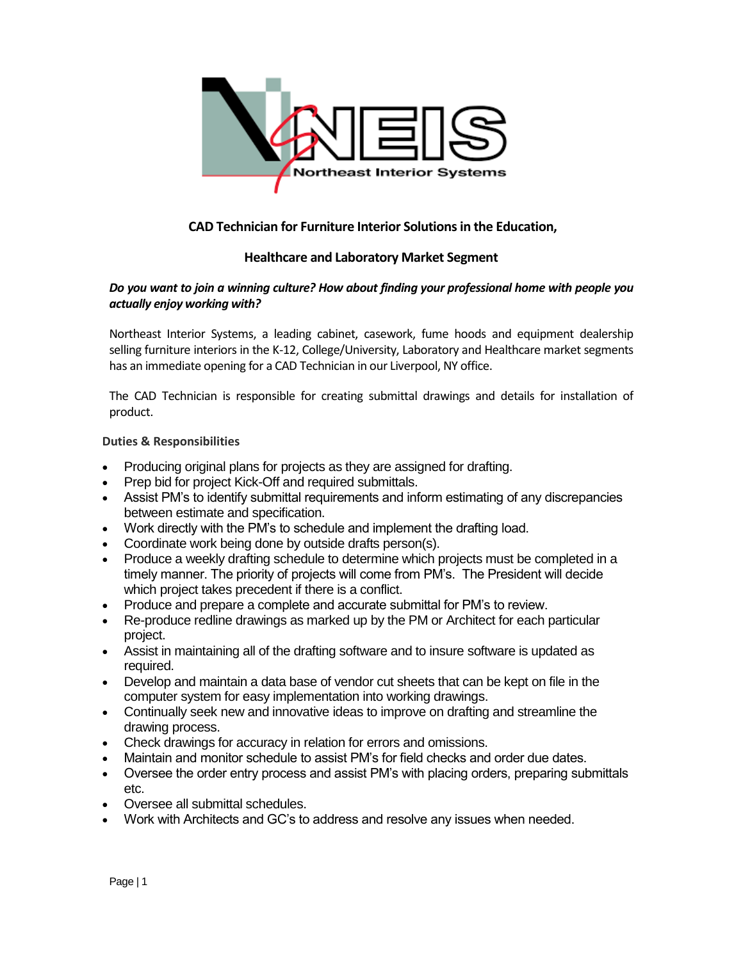

# **CAD Technician for Furniture Interior Solutions in the Education,**

## **Healthcare and Laboratory Market Segment**

## *Do you want to join a winning culture? How about finding your professional home with people you actually enjoy working with?*

Northeast Interior Systems, a leading cabinet, casework, fume hoods and equipment dealership selling furniture interiors in the K-12, College/University, Laboratory and Healthcare market segments has an immediate opening for a CAD Technician in our Liverpool, NY office.

The CAD Technician is responsible for creating submittal drawings and details for installation of product.

#### **Duties & Responsibilities**

- Producing original plans for projects as they are assigned for drafting.
- Prep bid for project Kick-Off and required submittals.
- Assist PM's to identify submittal requirements and inform estimating of any discrepancies between estimate and specification.
- Work directly with the PM's to schedule and implement the drafting load.
- Coordinate work being done by outside drafts person(s).
- Produce a weekly drafting schedule to determine which projects must be completed in a timely manner. The priority of projects will come from PM's. The President will decide which project takes precedent if there is a conflict.
- Produce and prepare a complete and accurate submittal for PM's to review.
- Re-produce redline drawings as marked up by the PM or Architect for each particular project.
- Assist in maintaining all of the drafting software and to insure software is updated as required.
- Develop and maintain a data base of vendor cut sheets that can be kept on file in the computer system for easy implementation into working drawings.
- Continually seek new and innovative ideas to improve on drafting and streamline the drawing process.
- Check drawings for accuracy in relation for errors and omissions.
- Maintain and monitor schedule to assist PM's for field checks and order due dates.
- Oversee the order entry process and assist PM's with placing orders, preparing submittals etc.
- Oversee all submittal schedules.
- Work with Architects and GC's to address and resolve any issues when needed.